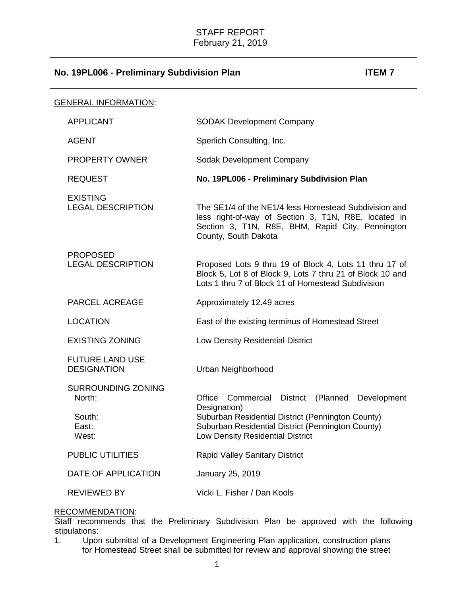| <b>GENERAL INFORMATION:</b>                  |                                                                                                                                                                                           |
|----------------------------------------------|-------------------------------------------------------------------------------------------------------------------------------------------------------------------------------------------|
| <b>APPLICANT</b>                             | <b>SODAK Development Company</b>                                                                                                                                                          |
| <b>AGENT</b>                                 | Sperlich Consulting, Inc.                                                                                                                                                                 |
| <b>PROPERTY OWNER</b>                        | Sodak Development Company                                                                                                                                                                 |
| <b>REQUEST</b>                               | No. 19PL006 - Preliminary Subdivision Plan                                                                                                                                                |
| <b>EXISTING</b><br><b>LEGAL DESCRIPTION</b>  | The SE1/4 of the NE1/4 less Homestead Subdivision and<br>less right-of-way of Section 3, T1N, R8E, located in<br>Section 3, T1N, R8E, BHM, Rapid City, Pennington<br>County, South Dakota |
| <b>PROPOSED</b><br><b>LEGAL DESCRIPTION</b>  | Proposed Lots 9 thru 19 of Block 4, Lots 11 thru 17 of<br>Block 5, Lot 8 of Block 9, Lots 7 thru 21 of Block 10 and<br>Lots 1 thru 7 of Block 11 of Homestead Subdivision                 |
| <b>PARCEL ACREAGE</b>                        | Approximately 12.49 acres                                                                                                                                                                 |
| <b>LOCATION</b>                              | East of the existing terminus of Homestead Street                                                                                                                                         |
| <b>EXISTING ZONING</b>                       | Low Density Residential District                                                                                                                                                          |
| <b>FUTURE LAND USE</b><br><b>DESIGNATION</b> | Urban Neighborhood                                                                                                                                                                        |
| <b>SURROUNDING ZONING</b><br>North:          | Office<br>Commercial<br>(Planned<br>Development<br><b>District</b><br>Designation)                                                                                                        |
| South:<br>East:<br>West:                     | Suburban Residential District (Pennington County)<br>Suburban Residential District (Pennington County)<br>Low Density Residential District                                                |
| PUBLIC UTILITIES                             | <b>Rapid Valley Sanitary District</b>                                                                                                                                                     |
| DATE OF APPLICATION                          | January 25, 2019                                                                                                                                                                          |
| <b>REVIEWED BY</b>                           | Vicki L. Fisher / Dan Kools                                                                                                                                                               |

# RECOMMENDATION:

Staff recommends that the Preliminary Subdivision Plan be approved with the following stipulations:

1. Upon submittal of a Development Engineering Plan application, construction plans for Homestead Street shall be submitted for review and approval showing the street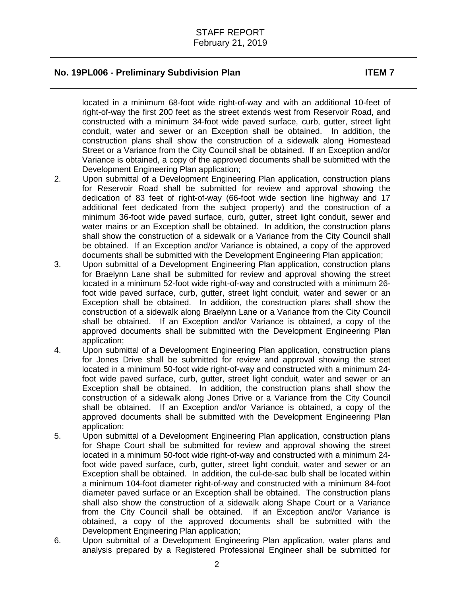located in a minimum 68-foot wide right-of-way and with an additional 10-feet of right-of-way the first 200 feet as the street extends west from Reservoir Road, and constructed with a minimum 34-foot wide paved surface, curb, gutter, street light conduit, water and sewer or an Exception shall be obtained. In addition, the construction plans shall show the construction of a sidewalk along Homestead Street or a Variance from the City Council shall be obtained. If an Exception and/or Variance is obtained, a copy of the approved documents shall be submitted with the Development Engineering Plan application;

- 2. Upon submittal of a Development Engineering Plan application, construction plans for Reservoir Road shall be submitted for review and approval showing the dedication of 83 feet of right-of-way (66-foot wide section line highway and 17 additional feet dedicated from the subject property) and the construction of a minimum 36-foot wide paved surface, curb, gutter, street light conduit, sewer and water mains or an Exception shall be obtained. In addition, the construction plans shall show the construction of a sidewalk or a Variance from the City Council shall be obtained. If an Exception and/or Variance is obtained, a copy of the approved documents shall be submitted with the Development Engineering Plan application;
- 3. Upon submittal of a Development Engineering Plan application, construction plans for Braelynn Lane shall be submitted for review and approval showing the street located in a minimum 52-foot wide right-of-way and constructed with a minimum 26 foot wide paved surface, curb, gutter, street light conduit, water and sewer or an Exception shall be obtained. In addition, the construction plans shall show the construction of a sidewalk along Braelynn Lane or a Variance from the City Council shall be obtained. If an Exception and/or Variance is obtained, a copy of the approved documents shall be submitted with the Development Engineering Plan application;
- 4. Upon submittal of a Development Engineering Plan application, construction plans for Jones Drive shall be submitted for review and approval showing the street located in a minimum 50-foot wide right-of-way and constructed with a minimum 24 foot wide paved surface, curb, gutter, street light conduit, water and sewer or an Exception shall be obtained. In addition, the construction plans shall show the construction of a sidewalk along Jones Drive or a Variance from the City Council shall be obtained. If an Exception and/or Variance is obtained, a copy of the approved documents shall be submitted with the Development Engineering Plan application;
- 5. Upon submittal of a Development Engineering Plan application, construction plans for Shape Court shall be submitted for review and approval showing the street located in a minimum 50-foot wide right-of-way and constructed with a minimum 24 foot wide paved surface, curb, gutter, street light conduit, water and sewer or an Exception shall be obtained. In addition, the cul-de-sac bulb shall be located within a minimum 104-foot diameter right-of-way and constructed with a minimum 84-foot diameter paved surface or an Exception shall be obtained. The construction plans shall also show the construction of a sidewalk along Shape Court or a Variance from the City Council shall be obtained. If an Exception and/or Variance is obtained, a copy of the approved documents shall be submitted with the Development Engineering Plan application;
- 6. Upon submittal of a Development Engineering Plan application, water plans and analysis prepared by a Registered Professional Engineer shall be submitted for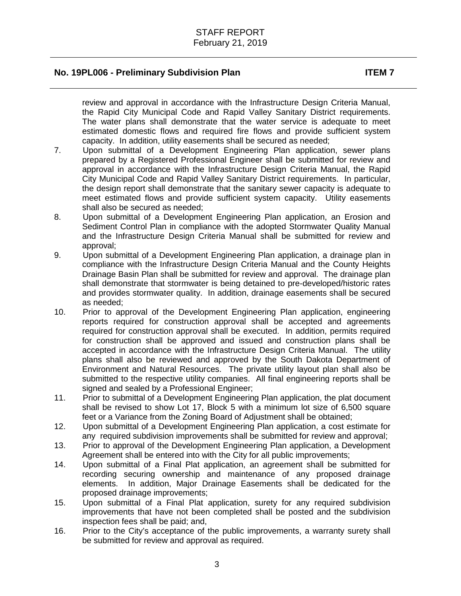review and approval in accordance with the Infrastructure Design Criteria Manual, the Rapid City Municipal Code and Rapid Valley Sanitary District requirements. The water plans shall demonstrate that the water service is adequate to meet estimated domestic flows and required fire flows and provide sufficient system capacity. In addition, utility easements shall be secured as needed;

- 7. Upon submittal of a Development Engineering Plan application, sewer plans prepared by a Registered Professional Engineer shall be submitted for review and approval in accordance with the Infrastructure Design Criteria Manual, the Rapid City Municipal Code and Rapid Valley Sanitary District requirements. In particular, the design report shall demonstrate that the sanitary sewer capacity is adequate to meet estimated flows and provide sufficient system capacity. Utility easements shall also be secured as needed;
- 8. Upon submittal of a Development Engineering Plan application, an Erosion and Sediment Control Plan in compliance with the adopted Stormwater Quality Manual and the Infrastructure Design Criteria Manual shall be submitted for review and approval;
- 9. Upon submittal of a Development Engineering Plan application, a drainage plan in compliance with the Infrastructure Design Criteria Manual and the County Heights Drainage Basin Plan shall be submitted for review and approval. The drainage plan shall demonstrate that stormwater is being detained to pre-developed/historic rates and provides stormwater quality. In addition, drainage easements shall be secured as needed;
- 10. Prior to approval of the Development Engineering Plan application, engineering reports required for construction approval shall be accepted and agreements required for construction approval shall be executed. In addition, permits required for construction shall be approved and issued and construction plans shall be accepted in accordance with the Infrastructure Design Criteria Manual. The utility plans shall also be reviewed and approved by the South Dakota Department of Environment and Natural Resources. The private utility layout plan shall also be submitted to the respective utility companies. All final engineering reports shall be signed and sealed by a Professional Engineer;
- 11. Prior to submittal of a Development Engineering Plan application, the plat document shall be revised to show Lot 17, Block 5 with a minimum lot size of  $6,500$  square feet or a Variance from the Zoning Board of Adjustment shall be obtained;
- 12. Upon submittal of a Development Engineering Plan application, a cost estimate for any required subdivision improvements shall be submitted for review and approval;
- 13. Prior to approval of the Development Engineering Plan application, a Development Agreement shall be entered into with the City for all public improvements;
- 14. Upon submittal of a Final Plat application, an agreement shall be submitted for recording securing ownership and maintenance of any proposed drainage elements. In addition, Major Drainage Easements shall be dedicated for the proposed drainage improvements;
- 15. Upon submittal of a Final Plat application, surety for any required subdivision improvements that have not been completed shall be posted and the subdivision inspection fees shall be paid; and,
- 16. Prior to the City's acceptance of the public improvements, a warranty surety shall be submitted for review and approval as required.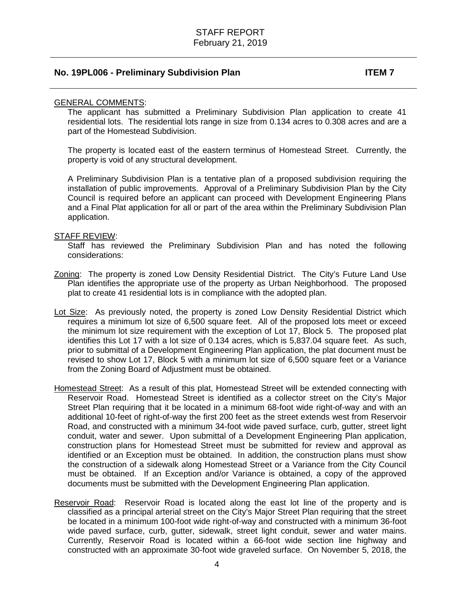### GENERAL COMMENTS:

The applicant has submitted a Preliminary Subdivision Plan application to create 41 residential lots. The residential lots range in size from 0.134 acres to 0.308 acres and are a part of the Homestead Subdivision.

The property is located east of the eastern terminus of Homestead Street. Currently, the property is void of any structural development.

A Preliminary Subdivision Plan is a tentative plan of a proposed subdivision requiring the installation of public improvements. Approval of a Preliminary Subdivision Plan by the City Council is required before an applicant can proceed with Development Engineering Plans and a Final Plat application for all or part of the area within the Preliminary Subdivision Plan application.

### STAFF REVIEW:

Staff has reviewed the Preliminary Subdivision Plan and has noted the following considerations:

- Zoning: The property is zoned Low Density Residential District. The City's Future Land Use Plan identifies the appropriate use of the property as Urban Neighborhood. The proposed plat to create 41 residential lots is in compliance with the adopted plan.
- Lot Size: As previously noted, the property is zoned Low Density Residential District which requires a minimum lot size of 6,500 square feet. All of the proposed lots meet or exceed the minimum lot size requirement with the exception of Lot 17, Block 5. The proposed plat identifies this Lot 17 with a lot size of 0.134 acres, which is 5,837.04 square feet. As such, prior to submittal of a Development Engineering Plan application, the plat document must be revised to show Lot 17, Block 5 with a minimum lot size of 6,500 square feet or a Variance from the Zoning Board of Adjustment must be obtained.
- Homestead Street: As a result of this plat, Homestead Street will be extended connecting with Reservoir Road. Homestead Street is identified as a collector street on the City's Major Street Plan requiring that it be located in a minimum 68-foot wide right-of-way and with an additional 10-feet of right-of-way the first 200 feet as the street extends west from Reservoir Road, and constructed with a minimum 34-foot wide paved surface, curb, gutter, street light conduit, water and sewer. Upon submittal of a Development Engineering Plan application, construction plans for Homestead Street must be submitted for review and approval as identified or an Exception must be obtained. In addition, the construction plans must show the construction of a sidewalk along Homestead Street or a Variance from the City Council must be obtained. If an Exception and/or Variance is obtained, a copy of the approved documents must be submitted with the Development Engineering Plan application.
- Reservoir Road: Reservoir Road is located along the east lot line of the property and is classified as a principal arterial street on the City's Major Street Plan requiring that the street be located in a minimum 100-foot wide right-of-way and constructed with a minimum 36-foot wide paved surface, curb, gutter, sidewalk, street light conduit, sewer and water mains. Currently, Reservoir Road is located within a 66-foot wide section line highway and constructed with an approximate 30-foot wide graveled surface. On November 5, 2018, the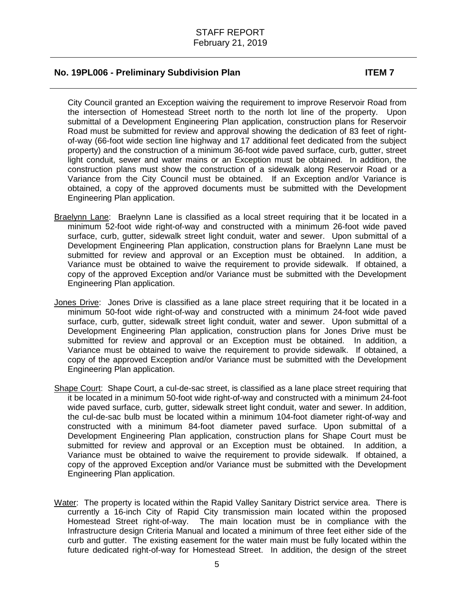City Council granted an Exception waiving the requirement to improve Reservoir Road from the intersection of Homestead Street north to the north lot line of the property. Upon submittal of a Development Engineering Plan application, construction plans for Reservoir Road must be submitted for review and approval showing the dedication of 83 feet of rightof-way (66-foot wide section line highway and 17 additional feet dedicated from the subject property) and the construction of a minimum 36-foot wide paved surface, curb, gutter, street light conduit, sewer and water mains or an Exception must be obtained. In addition, the construction plans must show the construction of a sidewalk along Reservoir Road or a Variance from the City Council must be obtained. If an Exception and/or Variance is obtained, a copy of the approved documents must be submitted with the Development Engineering Plan application.

- Braelynn Lane: Braelynn Lane is classified as a local street requiring that it be located in a minimum 52-foot wide right-of-way and constructed with a minimum 26-foot wide paved surface, curb, gutter, sidewalk street light conduit, water and sewer. Upon submittal of a Development Engineering Plan application, construction plans for Braelynn Lane must be submitted for review and approval or an Exception must be obtained. In addition, a Variance must be obtained to waive the requirement to provide sidewalk. If obtained, a copy of the approved Exception and/or Variance must be submitted with the Development Engineering Plan application.
- Jones Drive: Jones Drive is classified as a lane place street requiring that it be located in a minimum 50-foot wide right-of-way and constructed with a minimum 24-foot wide paved surface, curb, gutter, sidewalk street light conduit, water and sewer. Upon submittal of a Development Engineering Plan application, construction plans for Jones Drive must be submitted for review and approval or an Exception must be obtained. In addition, a Variance must be obtained to waive the requirement to provide sidewalk. If obtained, a copy of the approved Exception and/or Variance must be submitted with the Development Engineering Plan application.
- Shape Court: Shape Court, a cul-de-sac street, is classified as a lane place street requiring that it be located in a minimum 50-foot wide right-of-way and constructed with a minimum 24-foot wide paved surface, curb, gutter, sidewalk street light conduit, water and sewer. In addition, the cul-de-sac bulb must be located within a minimum 104-foot diameter right-of-way and constructed with a minimum 84-foot diameter paved surface. Upon submittal of a Development Engineering Plan application, construction plans for Shape Court must be submitted for review and approval or an Exception must be obtained. In addition, a Variance must be obtained to waive the requirement to provide sidewalk. If obtained, a copy of the approved Exception and/or Variance must be submitted with the Development Engineering Plan application.
- Water: The property is located within the Rapid Valley Sanitary District service area. There is currently a 16-inch City of Rapid City transmission main located within the proposed Homestead Street right-of-way. The main location must be in compliance with the Infrastructure design Criteria Manual and located a minimum of three feet either side of the curb and gutter. The existing easement for the water main must be fully located within the future dedicated right-of-way for Homestead Street. In addition, the design of the street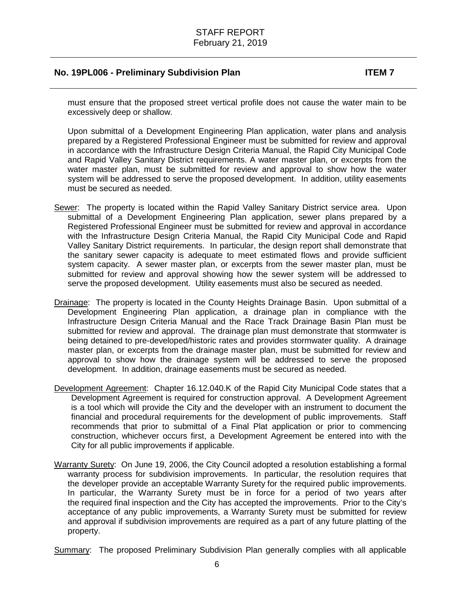must ensure that the proposed street vertical profile does not cause the water main to be excessively deep or shallow.

Upon submittal of a Development Engineering Plan application, water plans and analysis prepared by a Registered Professional Engineer must be submitted for review and approval in accordance with the Infrastructure Design Criteria Manual, the Rapid City Municipal Code and Rapid Valley Sanitary District requirements. A water master plan, or excerpts from the water master plan, must be submitted for review and approval to show how the water system will be addressed to serve the proposed development. In addition, utility easements must be secured as needed.

- Sewer: The property is located within the Rapid Valley Sanitary District service area. Upon submittal of a Development Engineering Plan application, sewer plans prepared by a Registered Professional Engineer must be submitted for review and approval in accordance with the Infrastructure Design Criteria Manual, the Rapid City Municipal Code and Rapid Valley Sanitary District requirements. In particular, the design report shall demonstrate that the sanitary sewer capacity is adequate to meet estimated flows and provide sufficient system capacity. A sewer master plan, or excerpts from the sewer master plan, must be submitted for review and approval showing how the sewer system will be addressed to serve the proposed development. Utility easements must also be secured as needed.
- Drainage: The property is located in the County Heights Drainage Basin. Upon submittal of a Development Engineering Plan application, a drainage plan in compliance with the Infrastructure Design Criteria Manual and the Race Track Drainage Basin Plan must be submitted for review and approval. The drainage plan must demonstrate that stormwater is being detained to pre-developed/historic rates and provides stormwater quality. A drainage master plan, or excerpts from the drainage master plan, must be submitted for review and approval to show how the drainage system will be addressed to serve the proposed development. In addition, drainage easements must be secured as needed.
- Development Agreement: Chapter 16.12.040.K of the Rapid City Municipal Code states that a Development Agreement is required for construction approval. A Development Agreement is a tool which will provide the City and the developer with an instrument to document the financial and procedural requirements for the development of public improvements. Staff recommends that prior to submittal of a Final Plat application or prior to commencing construction, whichever occurs first, a Development Agreement be entered into with the City for all public improvements if applicable.
- Warranty Surety: On June 19, 2006, the City Council adopted a resolution establishing a formal warranty process for subdivision improvements. In particular, the resolution requires that the developer provide an acceptable Warranty Surety for the required public improvements. In particular, the Warranty Surety must be in force for a period of two years after the required final inspection and the City has accepted the improvements. Prior to the City's acceptance of any public improvements, a Warranty Surety must be submitted for review and approval if subdivision improvements are required as a part of any future platting of the property.

Summary: The proposed Preliminary Subdivision Plan generally complies with all applicable